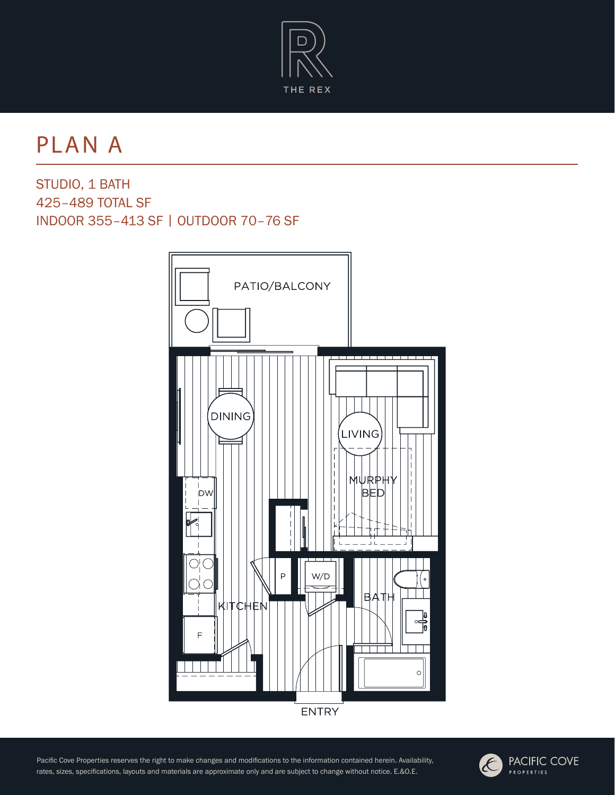

PLAN A

STUDIO, 1 BATH 425–489 TOTAL SF INDOOR 355–413 SF | OUTDOOR 70–76 SF



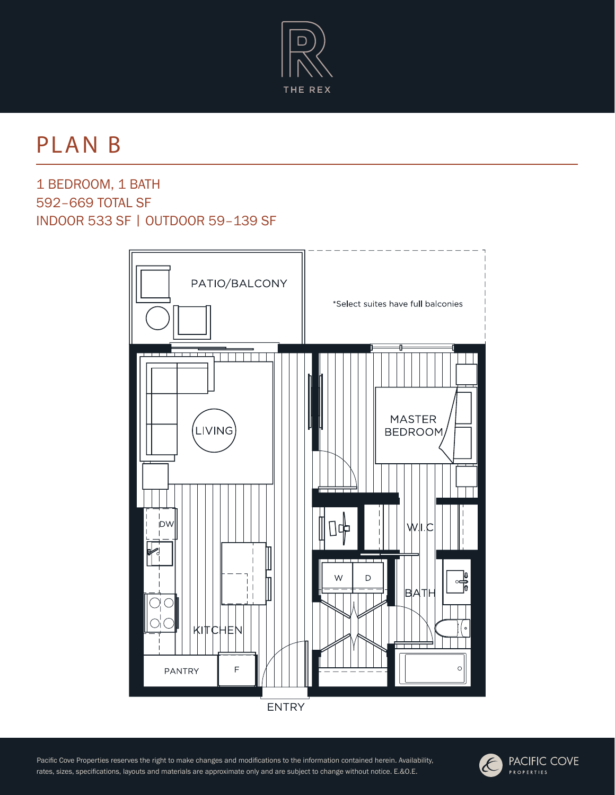

PLAN B

1 BEDROOM, 1 BATH 592–669 TOTAL SF INDOOR 533 SF | OUTDOOR 59–139 SF



**ENTRY** 

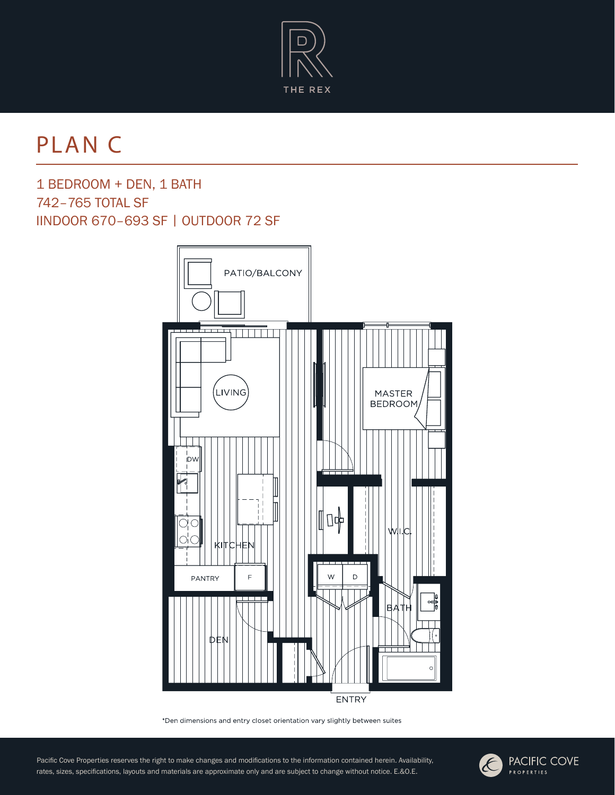

# PLAN C

1 BEDROOM + DEN, 1 BATH 742–765 TOTAL SF IINDOOR 670–693 SF | OUTDOOR 72 SF



\*Den dimensions and entry closet orientation vary slightly between suites

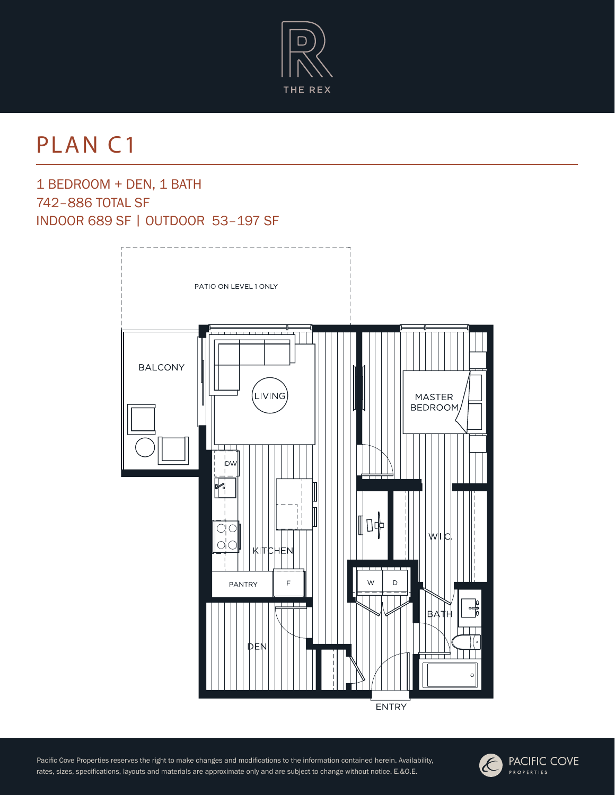

# PLAN C1

1 BEDROOM + DEN, 1 BATH 742–886 TOTAL SF INDOOR 689 SF | OUTDOOR 53–197 SF



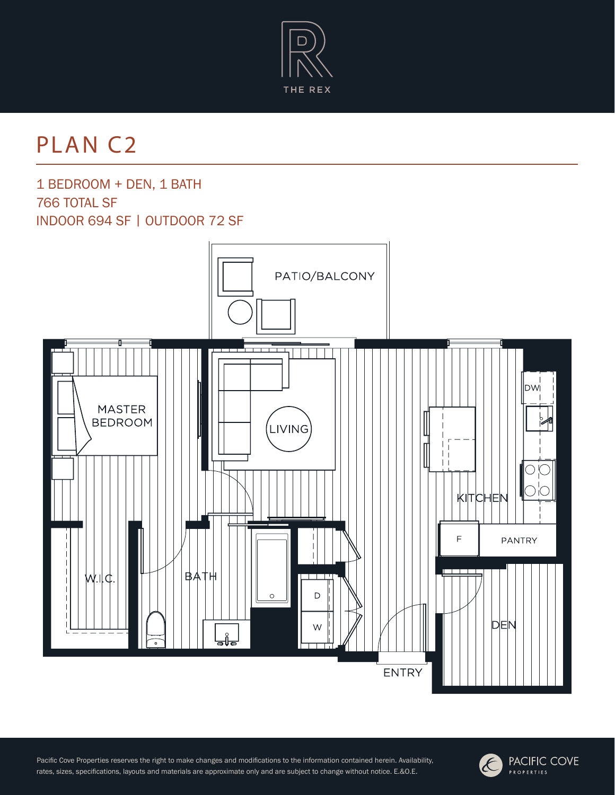

# PLAN C2

1 BEDROOM + DEN, 1 BATH 766 TOTAL SF INDOOR 694 SF | OUTDOOR 72 SF



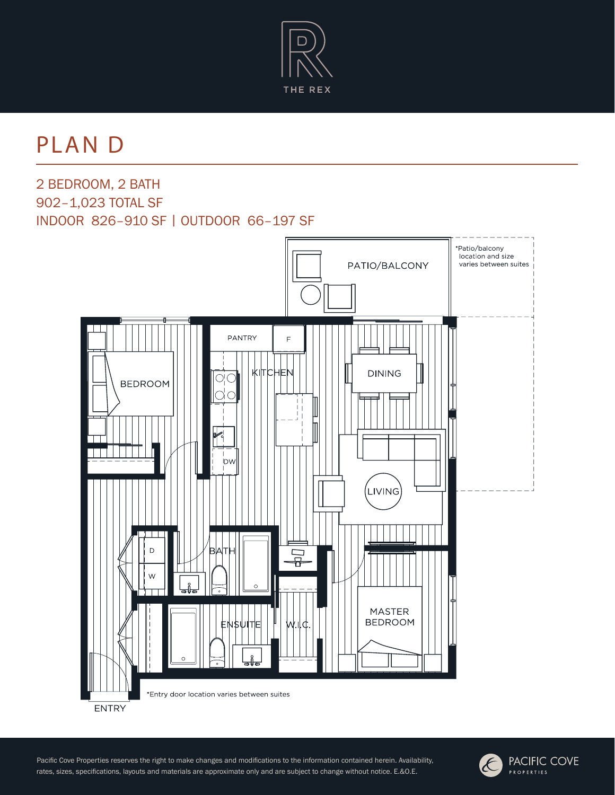

PLAN D

2 BEDROOM, 2 BATH 902–1,023 TOTAL SF INDOOR 826–910 SF | OUTDOOR 66–197 SF



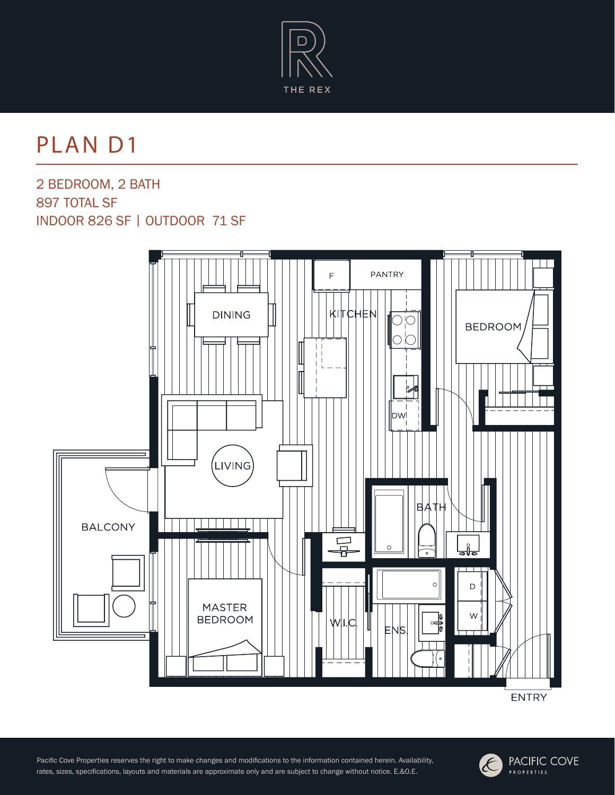

### PLAN D1

2 BEDROOM, 2 BATH 897 TOTAL SF INDOOR 826 SF | OUTDOOR 71 SF





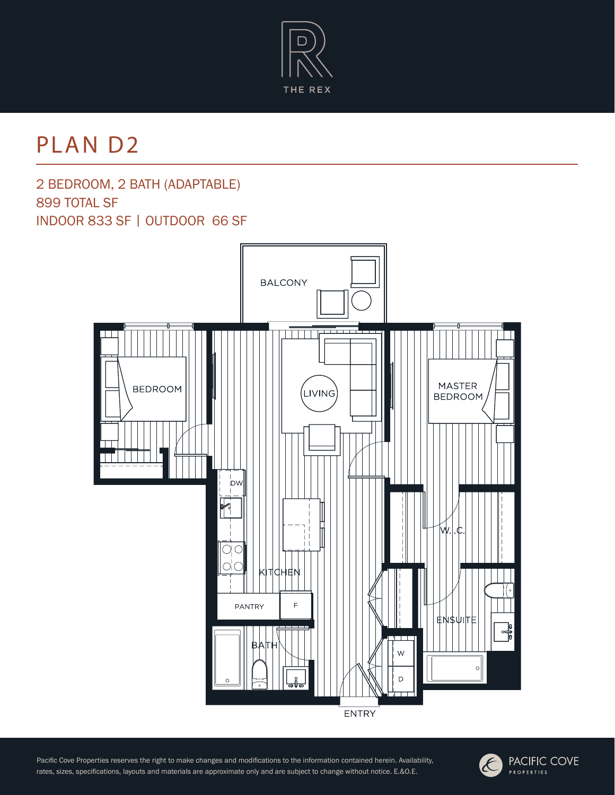

# PLAN D2

#### 2 BEDROOM, 2 BATH (ADAPTABLE) 899 TOTAL SF INDOOR 833 SF | OUTDOOR 66 SF